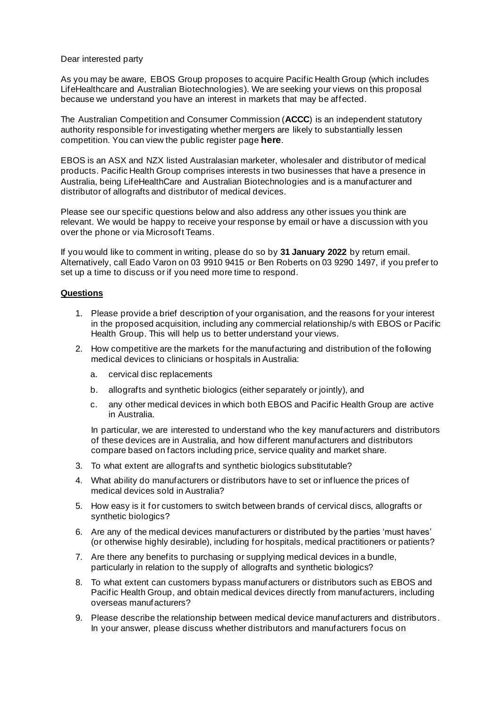## Dear interested party

As you may be aware, EBOS Group proposes to acquire Pacific Health Group (which includes LifeHealthcare and Australian Biotechnologies). We are seeking your views on this proposal because we understand you have an interest in markets that may be affected.

The Australian Competition and Consumer Commission (**ACCC**) is an independent statutory authority responsible for investigating whether mergers are likely to substantially lessen competition. You can view the public register page **here**.

EBOS is an ASX and NZX listed Australasian marketer, wholesaler and distributor of medical products. Pacific Health Group comprises interests in two businesses that have a presence in Australia, being LifeHealthCare and Australian Biotechnologies and is a manufacturer and distributor of allografts and distributor of medical devices.

Please see our specific questions below and also address any other issues you think are relevant. We would be happy to receive your response by email or have a discussion with you over the phone or via Microsoft Teams.

If you would like to comment in writing, please do so by **31 January 2022** by return email. Alternatively, call Eado Varon on 03 9910 9415 or Ben Roberts on 03 9290 1497, if you prefer to set up a time to discuss or if you need more time to respond.

## **Questions**

- 1. Please provide a brief description of your organisation, and the reasons for your interest in the proposed acquisition, including any commercial relationship/s with EBOS or Pacific Health Group. This will help us to better understand your views.
- 2. How competitive are the markets for the manufacturing and distribution of the following medical devices to clinicians or hospitals in Australia:
	- a. cervical disc replacements
	- b. allografts and synthetic biologics (either separately or jointly), and
	- c. any other medical devices in which both EBOS and Pacific Health Group are active in Australia.

In particular, we are interested to understand who the key manufacturers and distributors of these devices are in Australia, and how different manufacturers and distributors compare based on factors including price, service quality and market share.

- 3. To what extent are allografts and synthetic biologics substitutable?
- 4. What ability do manufacturers or distributors have to set or influence the prices of medical devices sold in Australia?
- 5. How easy is it for customers to switch between brands of cervical discs, allografts or synthetic biologics?
- 6. Are any of the medical devices manufacturers or distributed by the parties 'must haves' (or otherwise highly desirable), including for hospitals, medical practitioners or patients?
- 7. Are there any benefits to purchasing or supplying medical devices in a bundle, particularly in relation to the supply of allografts and synthetic biologics?
- 8. To what extent can customers bypass manufacturers or distributors such as EBOS and Pacific Health Group, and obtain medical devices directly from manufacturers, including overseas manufacturers?
- 9. Please describe the relationship between medical device manufacturers and distributors. In your answer, please discuss whether distributors and manufacturers focus on